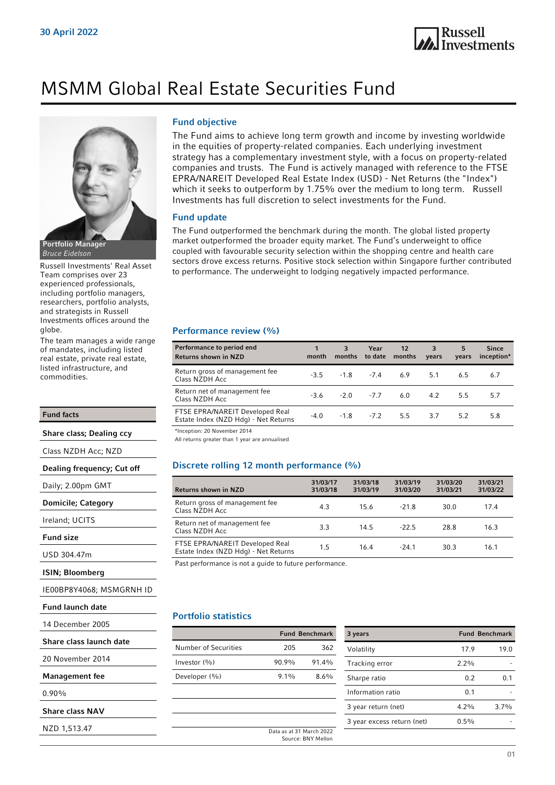

# MSMM Global Real Estate Securities Fund



Russell Investments' Real Asset Team comprises over 23 experienced professionals, including portfolio managers, researchers, portfolio analysts, and strategists in Russell Investments offices around the globe.

The team manages a wide range of mandates, including listed real estate, private real estate, listed infrastructure, and commodities.

### Fund facts

Share class; Dealing ccy

Class NZDH Acc; NZD

Dealing frequency; Cut off

Daily; 2.00pm GMT

Domicile; Category

```
Ireland; UCITS
```
Fund size

USD 304.47m

ISIN; Bloomberg

IE00BP8Y4068; MSMGRNH ID

Fund launch date

14 December 2005

| Share class launch date |  |  |
|-------------------------|--|--|
|-------------------------|--|--|

20 November 2014

Management fee

0.90%

Share class NAV

NZD 1,513.47

### Fund objective

The Fund aims to achieve long term growth and income by investing worldwide in the equities of property-related companies. Each underlying investment strategy has a complementary investment style, with a focus on property-related companies and trusts. The Fund is actively managed with reference to the FTSE EPRA/NAREIT Developed Real Estate Index (USD) - Net Returns (the "Index") which it seeks to outperform by 1.75% over the medium to long term. Russell Investments has full discretion to select investments for the Fund.

### Fund update

The Fund outperformed the benchmark during the month. The global listed property market outperformed the broader equity market. The Fund's underweight to office coupled with favourable security selection within the shopping centre and health care sectors drove excess returns. Positive stock selection within Singapore further contributed to performance. The underweight to lodging negatively impacted performance.

### Performance review (%)

| Performance to period end<br><b>Returns shown in NZD</b>                | month  | 3<br>months | Year<br>to date   | $12 \overline{ }$<br>months  | $-3$<br>years | 5<br>vears | <b>Since</b><br>inception* |
|-------------------------------------------------------------------------|--------|-------------|-------------------|------------------------------|---------------|------------|----------------------------|
| Return gross of management fee<br>Class NZDH Acc                        |        |             |                   | $-3.5$ $-1.8$ $-7.4$ 6.9 5.1 |               | 6.5        | 6.7                        |
| Return net of management fee<br>Class NZDH Acc                          | $-3.6$ |             | $-2.0$ $-7.7$ 6.0 |                              | 4.2           | 5.5        | 5.7                        |
| FTSE EPRA/NAREIT Developed Real<br>Estate Index (NZD Hdg) - Net Returns | $-4.0$ |             | $-1.8$ $-7.2$ 5.5 |                              | 3.7           | 5.2        | 5.8                        |
|                                                                         |        |             |                   |                              |               |            |                            |

\*Inception: 20 November 2014

All returns greater than 1 year are annualised

### Discrete rolling 12 month performance (%)

| <b>Returns shown in NZD</b>                                             | 31/03/17<br>31/03/18 | 31/03/18<br>31/03/19 | 31/03/19<br>31/03/20 | 31/03/20<br>31/03/21 | 31/03/21<br>31/03/22 |
|-------------------------------------------------------------------------|----------------------|----------------------|----------------------|----------------------|----------------------|
| Return gross of management fee<br>Class NZDH Acc.                       | 4.3                  | 15.6                 | $-21.8$              | 30.0                 | 174                  |
| Return net of management fee<br>Class NZDH Acc                          | 3.3                  | 14.5                 | $-22.5$              | 28.8                 | 16.3                 |
| FTSE EPRA/NAREIT Developed Real<br>Estate Index (NZD Hdg) - Net Returns | 1.5                  | 164                  | $-24.1$              | 30.3                 | 16.1                 |

Past performance is not a guide to future performance.

### Portfolio statistics

|         | 3 years |                                                                         |
|---------|---------|-------------------------------------------------------------------------|
| 205     | 362     | Volatility                                                              |
| 90.9%   | 91.4%   | Tracking er                                                             |
| $9.1\%$ | 8.6%    | Sharpe rati                                                             |
|         |         | Information                                                             |
|         |         | 3 year retu                                                             |
|         |         | 3 year exce                                                             |
|         |         |                                                                         |
|         |         | <b>Fund Benchmark</b><br>Data as at 31 March 2022<br>Source: BNY Mellon |

| 3 years                    |         | <b>Fund Benchmark</b> |
|----------------------------|---------|-----------------------|
| Volatility                 | 17.9    | 19.0                  |
| Tracking error             | 2.2%    |                       |
| Sharpe ratio               | 0.2     | 0.1                   |
| Information ratio          | 0.1     |                       |
| 3 year return (net)        | $4.2\%$ | 37%                   |
| 3 year excess return (net) | $0.5\%$ |                       |
|                            |         |                       |